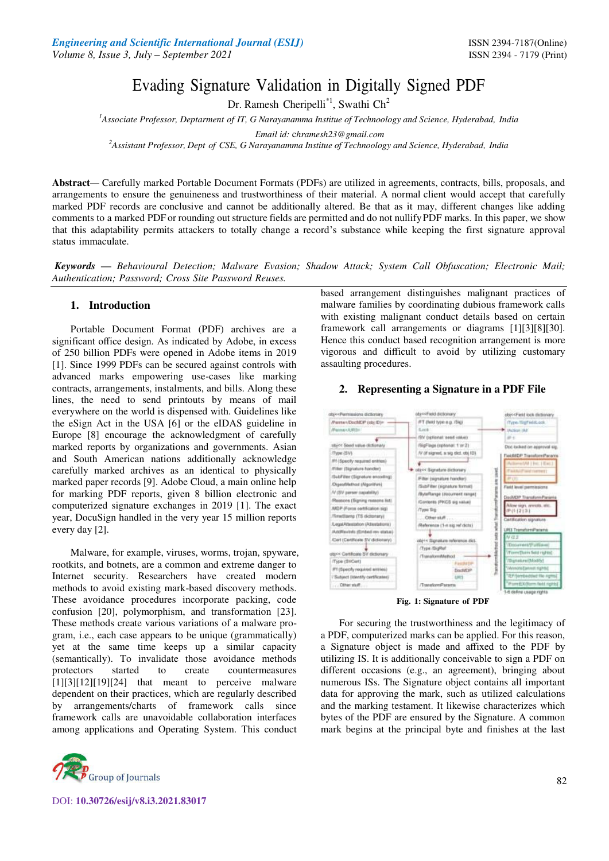# Evading Signature Validation in Digitally Signed PDF

Dr. Ramesh Cheripelli<sup>\*1</sup>, Swathi Ch<sup>2</sup>

*<sup>1</sup>Associate Professor, Deptarment of IT, G Narayanamma Institue of Technoology and Science, Hyderabad, India* 

*Email id:* [c](mailto:chramesh23@gmail.com)*[hramesh23@gmail.com](mailto:chramesh23@gmail.com)*

*<sup>2</sup>Assistant Professor, Dept of CSE, G Narayanamma Institue of Technoology and Science, Hyderabad, India*

**Abstract***—* Carefully marked Portable Document Formats (PDFs) are utilized in agreements, contracts, bills, proposals, and arrangements to ensure the genuineness and trustworthiness of their material. A normal client would accept that carefully marked PDF records are conclusive and cannot be additionally altered. Be that as it may, different changes like adding comments to a marked PDF or rounding out structure fields are permitted and do not nullify PDF marks. In this paper, we show that this adaptability permits attackers to totally change a record's substance while keeping the first signature approval status immaculate.

*Keywords* **—** *Behavioural Detection; Malware Evasion; Shadow Attack; System Call Obfuscation; Electronic Mail; Authentication; Password; Cross Site Password Reuses.* 

# **1. Introduction**

Portable Document Format (PDF) archives are a significant office design. As indicated by Adobe, in excess of 250 billion PDFs were opened in Adobe items in 2019 [1]. Since 1999 PDFs can be secured against controls with advanced marks empowering use-cases like marking contracts, arrangements, instalments, and bills. Along these lines, the need to send printouts by means of mail everywhere on the world is dispensed with. Guidelines like the eSign Act in the USA [6] or the eIDAS guideline in Europe [8] encourage the acknowledgment of carefully marked reports by organizations and governments. Asian and South American nations additionally acknowledge carefully marked archives as an identical to physically marked paper records [9]. Adobe Cloud, a main online help for marking PDF reports, given 8 billion electronic and computerized signature exchanges in 2019 [1]. The exact year, DocuSign handled in the very year 15 million reports every day [2].

Malware, for example, viruses, worms, trojan, spyware, rootkits, and botnets, are a common and extreme danger to Internet security. Researchers have created modern methods to avoid existing mark-based discovery methods. These avoidance procedures incorporate packing, code confusion [20], polymorphism, and transformation [23]. These methods create various variations of a malware program, i.e., each case appears to be unique (grammatically) yet at the same time keeps up a similar capacity (semantically). To invalidate those avoidance methods protectors started to create countermeasures  $[1][3][12][19][24]$  that meant to perceive malware dependent on their practices, which are regularly described by arrangements/charts of framework calls since framework calls are unavoidable collaboration interfaces among applications and Operating System. This conduct



DOI: **10.30726/esij/v8.i3.2021.83017**

based arrangement distinguishes malignant practices of malware families by coordinating dubious framework calls with existing malignant conduct details based on certain framework call arrangements or diagrams [1][3][8][30]. Hence this conduct based recognition arrangement is more vigorous and difficult to avoid by utilizing customary assaulting procedures.

# **2. Representing a Signature in a PDF File**



**Fig. 1: Signature of PDF**

For securing the trustworthiness and the legitimacy of a PDF, computerized marks can be applied. For this reason, a Signature object is made and affixed to the PDF by utilizing IS. It is additionally conceivable to sign a PDF on different occasions (e.g., an agreement), bringing about numerous ISs. The Signature object contains all important data for approving the mark, such as utilized calculations and the marking testament. It likewise characterizes which bytes of the PDF are ensured by the Signature. A common mark begins at the principal byte and finishes at the last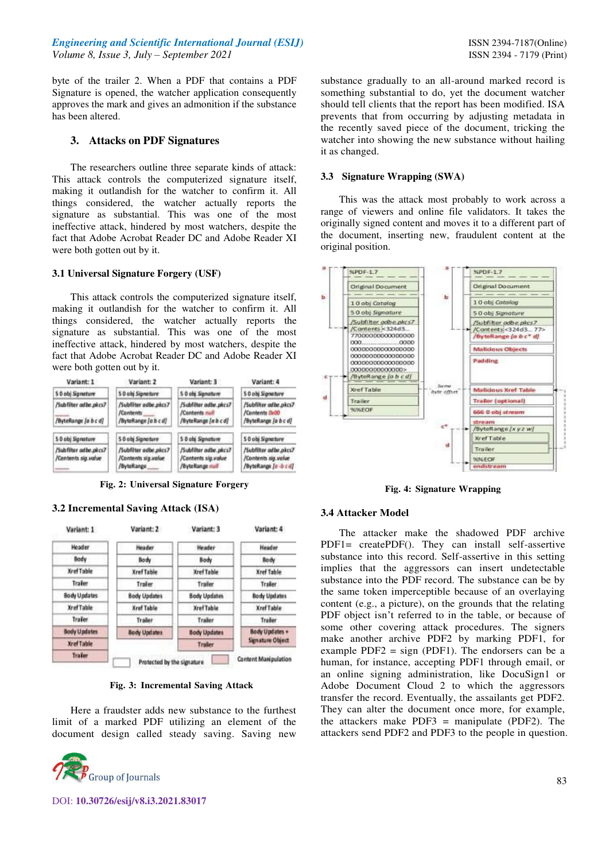byte of the trailer 2. When a PDF that contains a PDF Signature is opened, the watcher application consequently approves the mark and gives an admonition if the substance has been altered.

# **3. Attacks on PDF Signatures**

The researchers outline three separate kinds of attack: This attack controls the computerized signature itself, making it outlandish for the watcher to confirm it. All things considered, the watcher actually reports the signature as substantial. This was one of the most ineffective attack, hindered by most watchers, despite the fact that Adobe Acrobat Reader DC and Adobe Reader XI were both gotten out by it.

# **3.1 Universal Signature Forgery (USF)**

This attack controls the computerized signature itself, making it outlandish for the watcher to confirm it. All things considered, the watcher actually reports the signature as substantial. This was one of the most ineffective attack, hindered by most watchers, despite the fact that Adobe Acrobat Reader DC and Adobe Reader XI were both gotten out by it.



**Fig. 2: Universal Signature Forgery** 

### **3.2 Incremental Saving Attack (ISA)**



**Fig. 3: Incremental Saving Attack** 

Here a fraudster adds new substance to the furthest limit of a marked PDF utilizing an element of the document design called steady saving. Saving new



substance gradually to an all-around marked record is something substantial to do, yet the document watcher should tell clients that the report has been modified. ISA prevents that from occurring by adjusting metadata in the recently saved piece of the document, tricking the watcher into showing the new substance without hailing it as changed.

#### **3.3 Signature Wrapping (SWA)**

 This was the attack most probably to work across a range of viewers and online file validators. It takes the originally signed content and moves it to a different part of the document, inserting new, fraudulent content at the original position.



**Fig. 4: Signature Wrapping** 

#### **3.4 Attacker Model**

The attacker make the shadowed PDF archive PDF1= createPDF(). They can install self-assertive substance into this record. Self-assertive in this setting implies that the aggressors can insert undetectable substance into the PDF record. The substance can be by the same token imperceptible because of an overlaying content (e.g., a picture), on the grounds that the relating PDF object isn't referred to in the table, or because of some other covering attack procedures. The signers make another archive PDF2 by marking PDF1, for example PDF2 =  $sign$  (PDF1). The endorsers can be a human, for instance, accepting PDF1 through email, or an online signing administration, like DocuSign1 or Adobe Document Cloud 2 to which the aggressors transfer the record. Eventually, the assailants get PDF2. They can alter the document once more, for example, the attackers make PDF3 = manipulate (PDF2). The attackers send PDF2 and PDF3 to the people in question.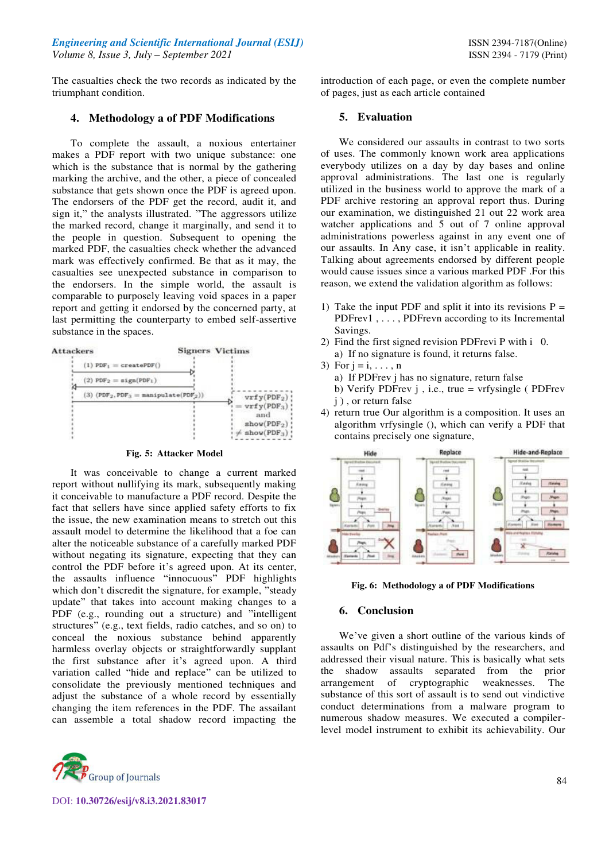The casualties check the two records as indicated by the triumphant condition.

# **4. Methodology a of PDF Modifications**

To complete the assault, a noxious entertainer makes a PDF report with two unique substance: one which is the substance that is normal by the gathering marking the archive, and the other, a piece of concealed substance that gets shown once the PDF is agreed upon. The endorsers of the PDF get the record, audit it, and sign it," the analysts illustrated. "The aggressors utilize the marked record, change it marginally, and send it to the people in question. Subsequent to opening the marked PDF, the casualties check whether the advanced mark was effectively confirmed. Be that as it may, the casualties see unexpected substance in comparison to the endorsers. In the simple world, the assault is comparable to purposely leaving void spaces in a paper report and getting it endorsed by the concerned party, at last permitting the counterparty to embed self-assertive substance in the spaces.



## **Fig. 5: Attacker Model**

It was conceivable to change a current marked report without nullifying its mark, subsequently making it conceivable to manufacture a PDF record. Despite the fact that sellers have since applied safety efforts to fix the issue, the new examination means to stretch out this assault model to determine the likelihood that a foe can alter the noticeable substance of a carefully marked PDF without negating its signature, expecting that they can control the PDF before it's agreed upon. At its center, the assaults influence "innocuous" PDF highlights which don't discredit the signature, for example, "steady update" that takes into account making changes to a PDF (e.g., rounding out a structure) and "intelligent structures" (e.g., text fields, radio catches, and so on) to conceal the noxious substance behind apparently harmless overlay objects or straightforwardly supplant the first substance after it's agreed upon. A third variation called "hide and replace" can be utilized to consolidate the previously mentioned techniques and adjust the substance of a whole record by essentially changing the item references in the PDF. The assailant can assemble a total shadow record impacting the



DOI: **10.30726/esij/v8.i3.2021.83017**

introduction of each page, or even the complete number of pages, just as each article contained

## **5. Evaluation**

We considered our assaults in contrast to two sorts of uses. The commonly known work area applications everybody utilizes on a day by day bases and online approval administrations. The last one is regularly utilized in the business world to approve the mark of a PDF archive restoring an approval report thus. During our examination, we distinguished 21 out 22 work area watcher applications and 5 out of 7 online approval administrations powerless against in any event one of our assaults. In Any case, it isn't applicable in reality. Talking about agreements endorsed by different people would cause issues since a various marked PDF .For this reason, we extend the validation algorithm as follows:

- 1) Take the input PDF and split it into its revisions  $P =$ PDFrev1, ..., PDFrevn according to its Incremental Savings.
- 2) Find the first signed revision PDFrevi P with i 0. a) If no signature is found, it returns false.
- 3) For  $j = i, \ldots, n$ 
	- a) If PDFrev j has no signature, return false
	- b) Verify PDFrev j , i.e., true = vrfysingle ( PDFrev j ) , or return false
- 4) return true Our algorithm is a composition. It uses an algorithm vrfysingle (), which can verify a PDF that contains precisely one signature,



**Fig. 6: Methodology a of PDF Modifications** 

## **6. Conclusion**

We've given a short outline of the various kinds of assaults on Pdf's distinguished by the researchers, and addressed their visual nature. This is basically what sets the shadow assaults separated from the prior arrangement of cryptographic weaknesses. The substance of this sort of assault is to send out vindictive conduct determinations from a malware program to numerous shadow measures. We executed a compilerlevel model instrument to exhibit its achievability. Our